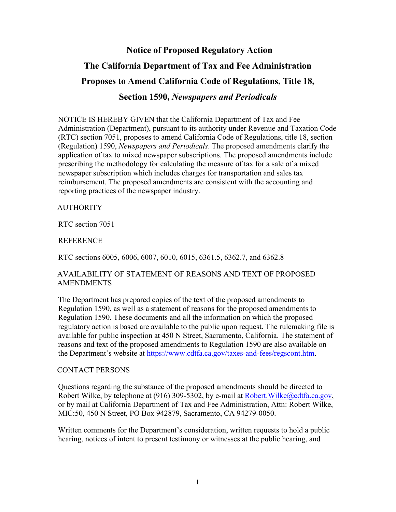# **Notice of Proposed Regulatory Action The California Department of Tax and Fee Administration Proposes to Amend California Code of Regulations, Title 18, Section 1590,** *Newspapers and Periodicals*

NOTICE IS HEREBY GIVEN that the California Department of Tax and Fee Administration (Department), pursuant to its authority under Revenue and Taxation Code (RTC) section 7051, proposes to amend California Code of Regulations, title 18, section (Regulation) 1590, *Newspapers and Periodicals*. The proposed amendments clarify the application of tax to mixed newspaper subscriptions. The proposed amendments include prescribing the methodology for calculating the measure of tax for a sale of a mixed newspaper subscription which includes charges for transportation and sales tax reimbursement. The proposed amendments are consistent with the accounting and reporting practices of the newspaper industry.

## **AUTHORITY**

RTC section 7051

REFERENCE

RTC sections 6005, 6006, 6007, 6010, 6015, 6361.5, 6362.7, and 6362.8

## AVAILABILITY OF STATEMENT OF REASONS AND TEXT OF PROPOSED AMENDMENTS

The Department has prepared copies of the text of the proposed amendments to Regulation 1590, as well as a statement of reasons for the proposed amendments to Regulation 1590. These documents and all the information on which the proposed regulatory action is based are available to the public upon request. The rulemaking file is available for public inspection at 450 N Street, Sacramento, California. The statement of reasons and text of the proposed amendments to Regulation 1590 are also available on the Department's website at [https://www.cdtfa.ca.gov/taxes-and-fees/regscont.htm.](https://www.cdtfa.ca.gov/taxes-and-fees/regscont.htm)

### CONTACT PERSONS

Questions regarding the substance of the proposed amendments should be directed to Robert Wilke, by telephone at (916) 309-5302, by e-mail at Robert. Wilke@cdtfa.ca.gov, or by mail at California Department of Tax and Fee Administration, Attn: Robert Wilke, MIC:50, 450 N Street, PO Box 942879, Sacramento, CA 94279-0050.

Written comments for the Department's consideration, written requests to hold a public hearing, notices of intent to present testimony or witnesses at the public hearing, and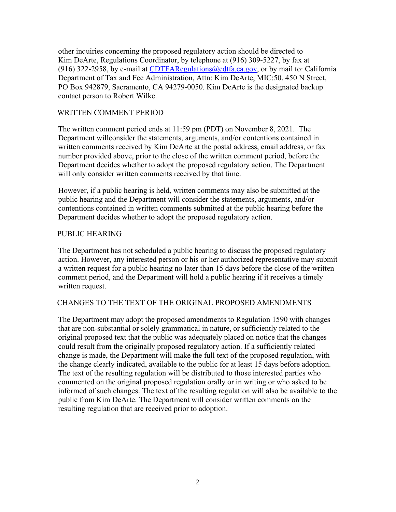other inquiries concerning the proposed regulatory action should be directed to Kim DeArte, Regulations Coordinator, by telephone at (916) 309-5227, by fax at (916) 322-2958, by e-mail at CDTFARegulations  $@cdtfa.ca.gov$ , or by mail to: California Department of Tax and Fee Administration, Attn: Kim DeArte, MIC:50, 450 N Street, PO Box 942879, Sacramento, CA 94279-0050. Kim DeArte is the designated backup contact person to Robert Wilke.

# WRITTEN COMMENT PERIOD

The written comment period ends at 11:59 pm (PDT) on November 8, 2021. The Department will consider the statements, arguments, and/or contentions contained in written comments received by Kim DeArte at the postal address, email address, or fax number provided above, prior to the close of the written comment period, before the Department decides whether to adopt the proposed regulatory action. The Department will only consider written comments received by that time.

However, if a public hearing is held, written comments may also be submitted at the public hearing and the Department will consider the statements, arguments, and/or contentions contained in written comments submitted at the public hearing before the Department decides whether to adopt the proposed regulatory action.

### PUBLIC HEARING

The Department has not scheduled a public hearing to discuss the proposed regulatory action. However, any interested person or his or her authorized representative may submit a written request for a public hearing no later than 15 days before the close of the written comment period, and the Department will hold a public hearing if it receives a timely written request.

### CHANGES TO THE TEXT OF THE ORIGINAL PROPOSED AMENDMENTS

The Department may adopt the proposed amendments to Regulation 1590 with changes that are non-substantial or solely grammatical in nature, or sufficiently related to the original proposed text that the public was adequately placed on notice that the changes could result from the originally proposed regulatory action. If a sufficiently related change is made, the Department will make the full text of the proposed regulation, with the change clearly indicated, available to the public for at least 15 days before adoption. The text of the resulting regulation will be distributed to those interested parties who commented on the original proposed regulation orally or in writing or who asked to be informed of such changes. The text of the resulting regulation will also be available to the public from Kim DeArte. The Department will consider written comments on the resulting regulation that are received prior to adoption.